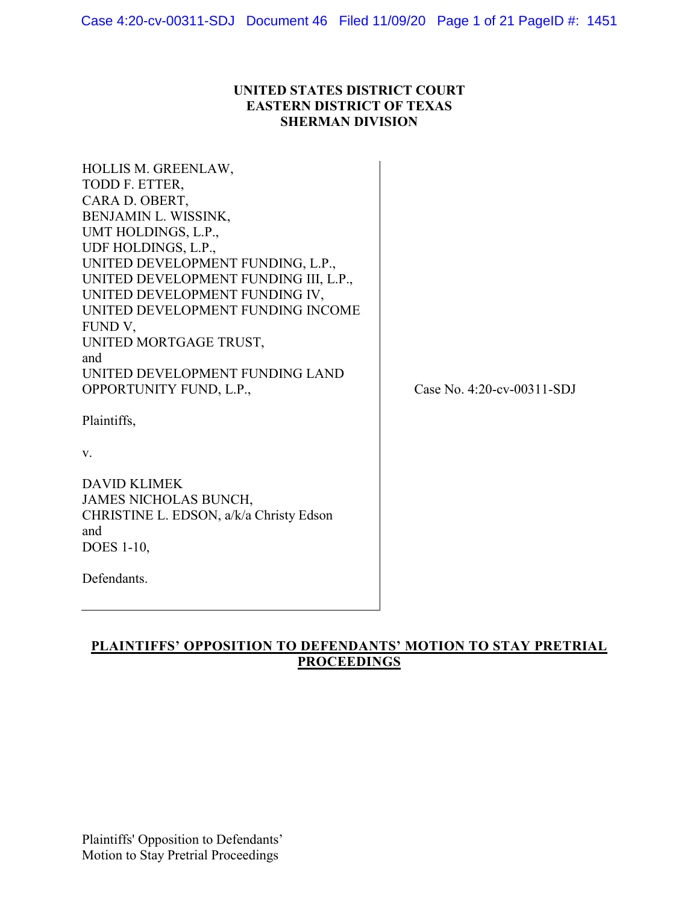## **UNITED STATES DISTRICT COURT EASTERN DISTRICT OF TEXAS SHERMAN DIVISION**

| HOLLIS M. GREENLAW,                   |                    |
|---------------------------------------|--------------------|
| TODD F. ETTER,                        |                    |
| CARA D. OBERT,                        |                    |
| BENJAMIN L. WISSINK,                  |                    |
| UMT HOLDINGS, L.P.,                   |                    |
| UDF HOLDINGS, L.P.,                   |                    |
| UNITED DEVELOPMENT FUNDING, L.P.,     |                    |
| UNITED DEVELOPMENT FUNDING III, L.P., |                    |
| UNITED DEVELOPMENT FUNDING IV,        |                    |
| UNITED DEVELOPMENT FUNDING INCOME     |                    |
| FUND V,                               |                    |
| UNITED MORTGAGE TRUST,                |                    |
| and                                   |                    |
| UNITED DEVELOPMENT FUNDING LAND       |                    |
| OPPORTUNITY FUND, L.P.,               | Case No. $4:20$ -c |
|                                       |                    |
| Plaintiffs,                           |                    |
|                                       |                    |
| V.                                    |                    |
|                                       |                    |
|                                       |                    |

DAVID KLIMEK JAMES NICHOLAS BUNCH, CHRISTINE L. EDSON, a/k/a Christy Edson and DOES 1-10,

Defendants.

 $cv$ -00311-SDJ

## **PLAINTIFFS' OPPOSITION TO DEFENDANTS' MOTION TO STAY PRETRIAL PROCEEDINGS**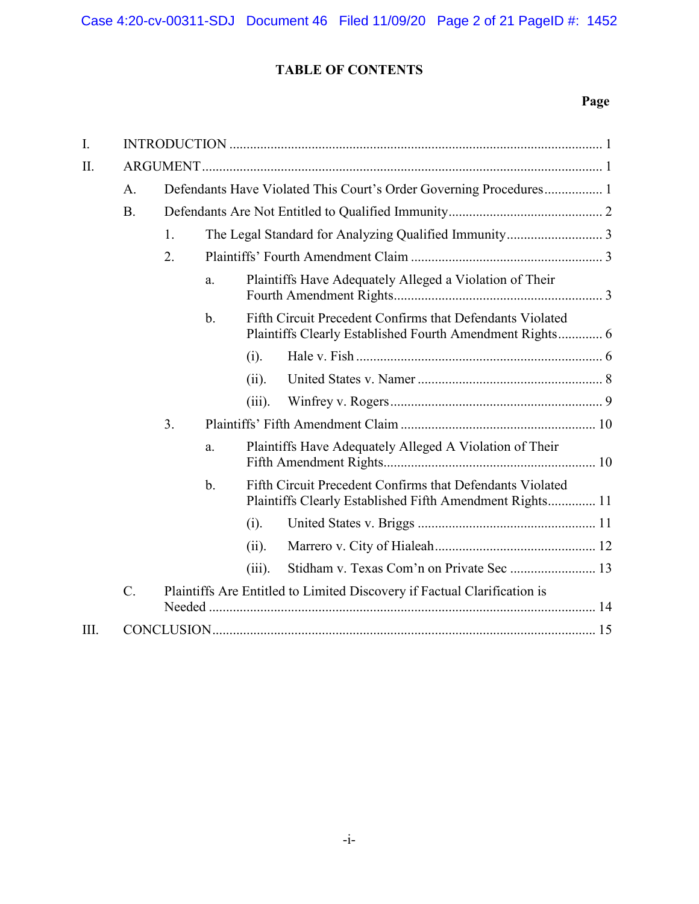## **TABLE OF CONTENTS**

## **Page**

| $\mathbf{I}$ . |           |                                                                          |                |           |                                                                                                                       |  |  |  |
|----------------|-----------|--------------------------------------------------------------------------|----------------|-----------|-----------------------------------------------------------------------------------------------------------------------|--|--|--|
| II.            |           |                                                                          |                |           |                                                                                                                       |  |  |  |
|                | A.        | Defendants Have Violated This Court's Order Governing Procedures 1       |                |           |                                                                                                                       |  |  |  |
|                | <b>B.</b> |                                                                          |                |           |                                                                                                                       |  |  |  |
|                |           | 1.                                                                       |                |           |                                                                                                                       |  |  |  |
|                |           | 2.                                                                       |                |           |                                                                                                                       |  |  |  |
|                |           |                                                                          | a.             |           | Plaintiffs Have Adequately Alleged a Violation of Their                                                               |  |  |  |
|                |           |                                                                          | $\mathbf{b}$ . |           | Fifth Circuit Precedent Confirms that Defendants Violated<br>Plaintiffs Clearly Established Fourth Amendment Rights 6 |  |  |  |
|                |           |                                                                          |                | (i).      |                                                                                                                       |  |  |  |
|                |           |                                                                          |                | (ii).     |                                                                                                                       |  |  |  |
|                |           |                                                                          |                | $(iii)$ . |                                                                                                                       |  |  |  |
|                |           | 3.                                                                       |                |           |                                                                                                                       |  |  |  |
|                |           |                                                                          | a.             |           | Plaintiffs Have Adequately Alleged A Violation of Their                                                               |  |  |  |
|                |           |                                                                          | $\mathbf{b}$ . |           | Fifth Circuit Precedent Confirms that Defendants Violated<br>Plaintiffs Clearly Established Fifth Amendment Rights 11 |  |  |  |
|                |           |                                                                          |                | (i).      |                                                                                                                       |  |  |  |
|                |           |                                                                          |                | (ii).     |                                                                                                                       |  |  |  |
|                |           |                                                                          |                | $(iii)$ . | Stidham v. Texas Com'n on Private Sec  13                                                                             |  |  |  |
|                | $C$ .     | Plaintiffs Are Entitled to Limited Discovery if Factual Clarification is |                |           |                                                                                                                       |  |  |  |
| III.           |           |                                                                          |                |           |                                                                                                                       |  |  |  |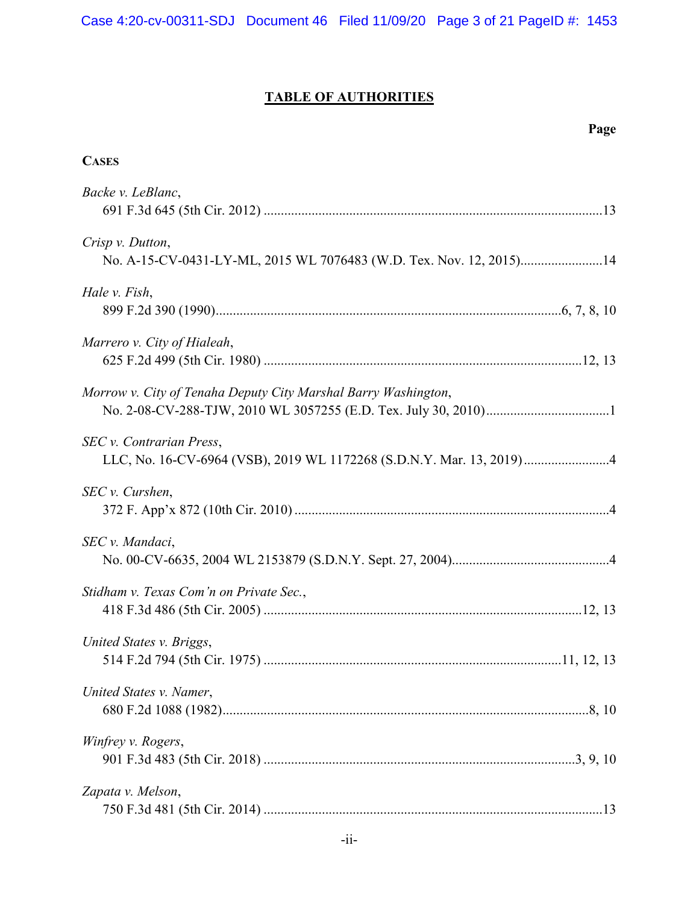# **TABLE OF AUTHORITIES**

| <b>CASES</b>                                                                                     |
|--------------------------------------------------------------------------------------------------|
| Backe v. LeBlanc,                                                                                |
| Crisp v. Dutton,<br>No. A-15-CV-0431-LY-ML, 2015 WL 7076483 (W.D. Tex. Nov. 12, 2015)14          |
| Hale v. Fish,                                                                                    |
| Marrero v. City of Hialeah,                                                                      |
| Morrow v. City of Tenaha Deputy City Marshal Barry Washington,                                   |
| SEC v. Contrarian Press,<br>LLC, No. 16-CV-6964 (VSB), 2019 WL 1172268 (S.D.N.Y. Mar. 13, 2019)4 |
| SEC v. Curshen,                                                                                  |
| SEC v. Mandaci,                                                                                  |
| Stidham v. Texas Com'n on Private Sec.,                                                          |
| United States v. Briggs,                                                                         |
| United States v. Namer,                                                                          |
| Winfrey v. Rogers,                                                                               |
| Zapata v. Melson,                                                                                |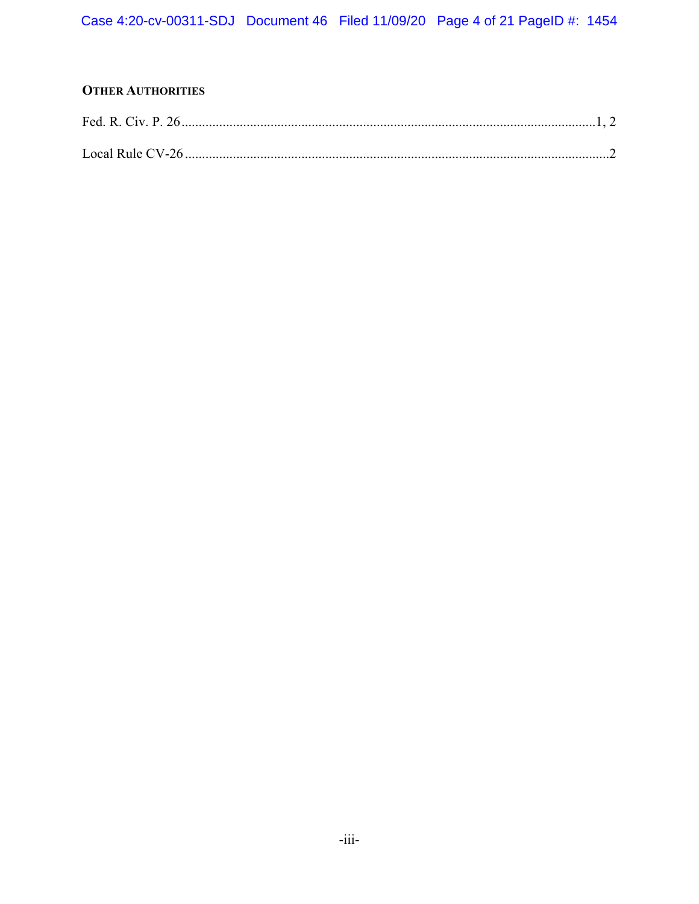## **OTHER AUTHORITIES**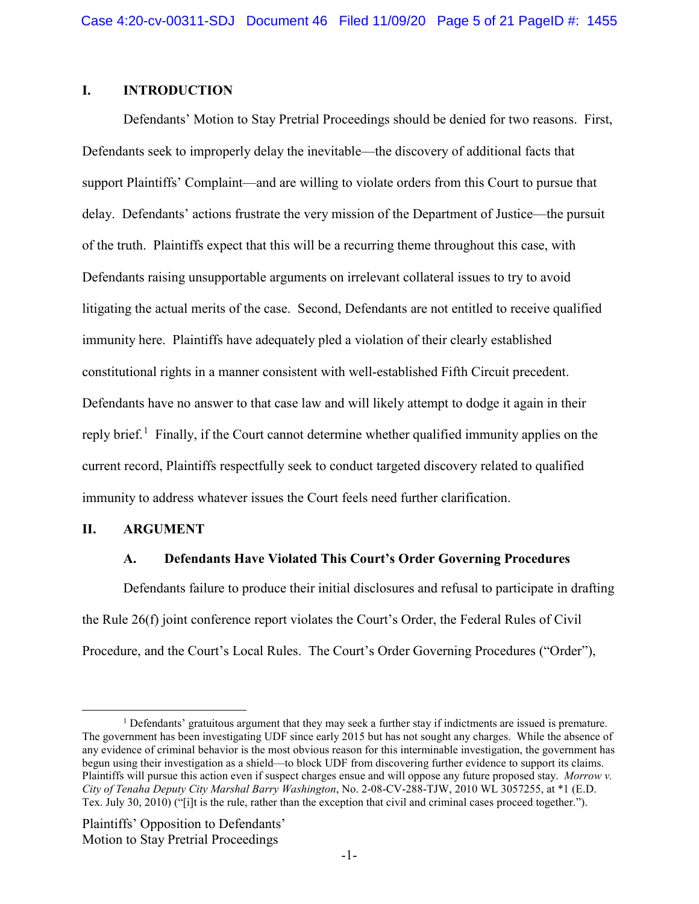## <span id="page-4-0"></span>**I. INTRODUCTION**

Defendants' Motion to Stay Pretrial Proceedings should be denied for two reasons. First, Defendants seek to improperly delay the inevitable—the discovery of additional facts that support Plaintiffs' Complaint—and are willing to violate orders from this Court to pursue that delay. Defendants' actions frustrate the very mission of the Department of Justice—the pursuit of the truth. Plaintiffs expect that this will be a recurring theme throughout this case, with Defendants raising unsupportable arguments on irrelevant collateral issues to try to avoid litigating the actual merits of the case. Second, Defendants are not entitled to receive qualified immunity here. Plaintiffs have adequately pled a violation of their clearly established constitutional rights in a manner consistent with well-established Fifth Circuit precedent. Defendants have no answer to that case law and will likely attempt to dodge it again in their reply brief.<sup>[1](#page-4-5)</sup> Finally, if the Court cannot determine whether qualified immunity applies on the current record, Plaintiffs respectfully seek to conduct targeted discovery related to qualified immunity to address whatever issues the Court feels need further clarification.

#### <span id="page-4-2"></span><span id="page-4-1"></span>**II. ARGUMENT**

## **A. Defendants Have Violated This Court's Order Governing Procedures**

<span id="page-4-4"></span>Defendants failure to produce their initial disclosures and refusal to participate in drafting the Rule 26(f) joint conference report violates the Court's Order, the Federal Rules of Civil Procedure, and the Court's Local Rules. The Court's Order Governing Procedures ("Order"),

<span id="page-4-5"></span><span id="page-4-3"></span><sup>1</sup> Defendants' gratuitous argument that they may seek a further stay if indictments are issued is premature. The government has been investigating UDF since early 2015 but has not sought any charges. While the absence of any evidence of criminal behavior is the most obvious reason for this interminable investigation, the government has begun using their investigation as a shield—to block UDF from discovering further evidence to support its claims. Plaintiffs will pursue this action even if suspect charges ensue and will oppose any future proposed stay. *Morrow v. City of Tenaha Deputy City Marshal Barry Washington*, No. 2-08-CV-288-TJW, 2010 WL 3057255, at \*1 (E.D. Tex. July 30, 2010) ("[i]t is the rule, rather than the exception that civil and criminal cases proceed together.").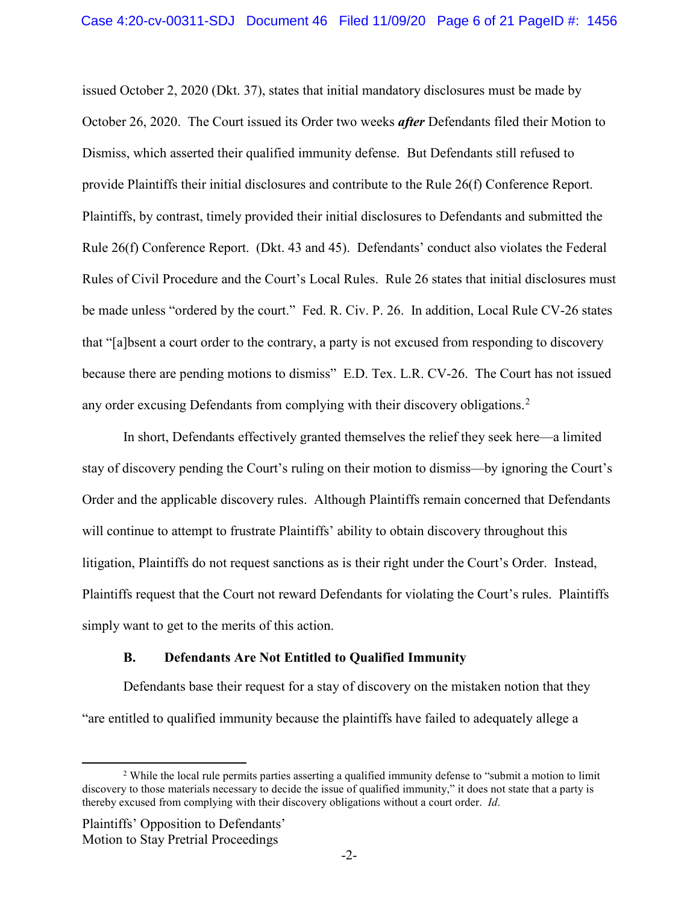<span id="page-5-1"></span>issued October 2, 2020 (Dkt. 37), states that initial mandatory disclosures must be made by October 26, 2020. The Court issued its Order two weeks *after* Defendants filed their Motion to Dismiss, which asserted their qualified immunity defense. But Defendants still refused to provide Plaintiffs their initial disclosures and contribute to the Rule 26(f) Conference Report. Plaintiffs, by contrast, timely provided their initial disclosures to Defendants and submitted the Rule 26(f) Conference Report. (Dkt. 43 and 45). Defendants' conduct also violates the Federal Rules of Civil Procedure and the Court's Local Rules. Rule 26 states that initial disclosures must be made unless "ordered by the court." Fed. R. Civ. P. 26. In addition, Local Rule CV-26 states that "[a]bsent a court order to the contrary, a party is not excused from responding to discovery because there are pending motions to dismiss" E.D. Tex. L.R. CV-26. The Court has not issued any order excusing Defendants from complying with their discovery obligations.<sup>[2](#page-5-3)</sup>

<span id="page-5-2"></span>In short, Defendants effectively granted themselves the relief they seek here—a limited stay of discovery pending the Court's ruling on their motion to dismiss—by ignoring the Court's Order and the applicable discovery rules. Although Plaintiffs remain concerned that Defendants will continue to attempt to frustrate Plaintiffs' ability to obtain discovery throughout this litigation, Plaintiffs do not request sanctions as is their right under the Court's Order. Instead, Plaintiffs request that the Court not reward Defendants for violating the Court's rules. Plaintiffs simply want to get to the merits of this action.

### **B. Defendants Are Not Entitled to Qualified Immunity**

<span id="page-5-0"></span>Defendants base their request for a stay of discovery on the mistaken notion that they "are entitled to qualified immunity because the plaintiffs have failed to adequately allege a

<span id="page-5-3"></span><sup>&</sup>lt;sup>2</sup> While the local rule permits parties asserting a qualified immunity defense to "submit a motion to limit" discovery to those materials necessary to decide the issue of qualified immunity," it does not state that a party is thereby excused from complying with their discovery obligations without a court order. *Id*.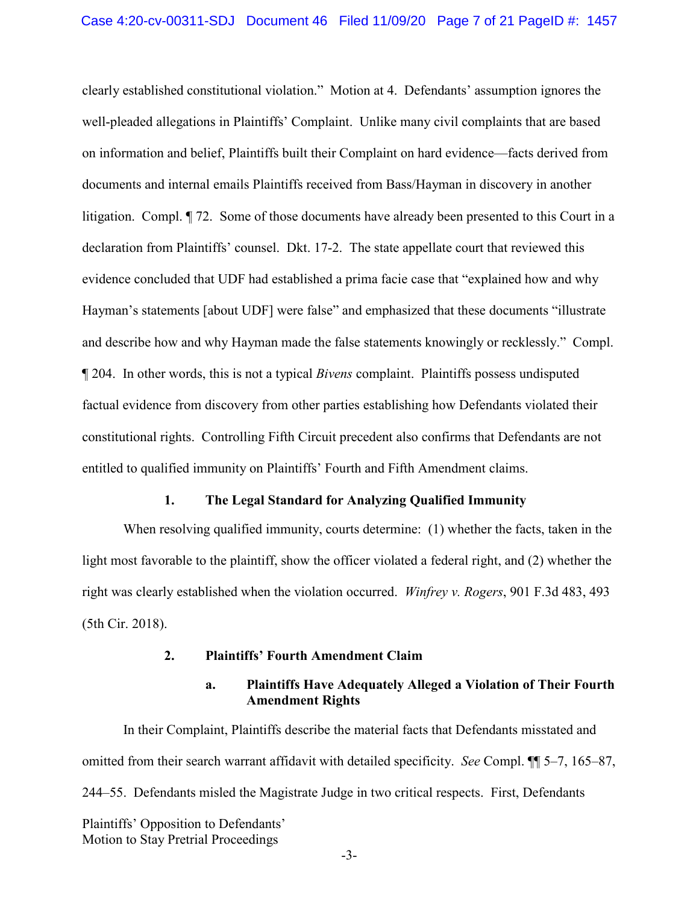clearly established constitutional violation." Motion at 4. Defendants' assumption ignores the well-pleaded allegations in Plaintiffs' Complaint. Unlike many civil complaints that are based on information and belief, Plaintiffs built their Complaint on hard evidence—facts derived from documents and internal emails Plaintiffs received from Bass/Hayman in discovery in another litigation. Compl. ¶ 72. Some of those documents have already been presented to this Court in a declaration from Plaintiffs' counsel. Dkt. 17-2. The state appellate court that reviewed this evidence concluded that UDF had established a prima facie case that "explained how and why Hayman's statements [about UDF] were false" and emphasized that these documents "illustrate and describe how and why Hayman made the false statements knowingly or recklessly." Compl. ¶ 204. In other words, this is not a typical *Bivens* complaint. Plaintiffs possess undisputed factual evidence from discovery from other parties establishing how Defendants violated their constitutional rights. Controlling Fifth Circuit precedent also confirms that Defendants are not entitled to qualified immunity on Plaintiffs' Fourth and Fifth Amendment claims.

#### **1. The Legal Standard for Analyzing Qualified Immunity**

<span id="page-6-0"></span>When resolving qualified immunity, courts determine: (1) whether the facts, taken in the light most favorable to the plaintiff, show the officer violated a federal right, and (2) whether the right was clearly established when the violation occurred. *Winfrey v. Rogers*, 901 F.3d 483, 493 (5th Cir. 2018).

### **2. Plaintiffs' Fourth Amendment Claim**

## <span id="page-6-3"></span>**a. Plaintiffs Have Adequately Alleged a Violation of Their Fourth Amendment Rights**

<span id="page-6-2"></span><span id="page-6-1"></span>Plaintiffs' Opposition to Defendants' Motion to Stay Pretrial Proceedings In their Complaint, Plaintiffs describe the material facts that Defendants misstated and omitted from their search warrant affidavit with detailed specificity. *See* Compl. ¶¶ 5–7, 165–87, 244–55. Defendants misled the Magistrate Judge in two critical respects. First, Defendants

-3-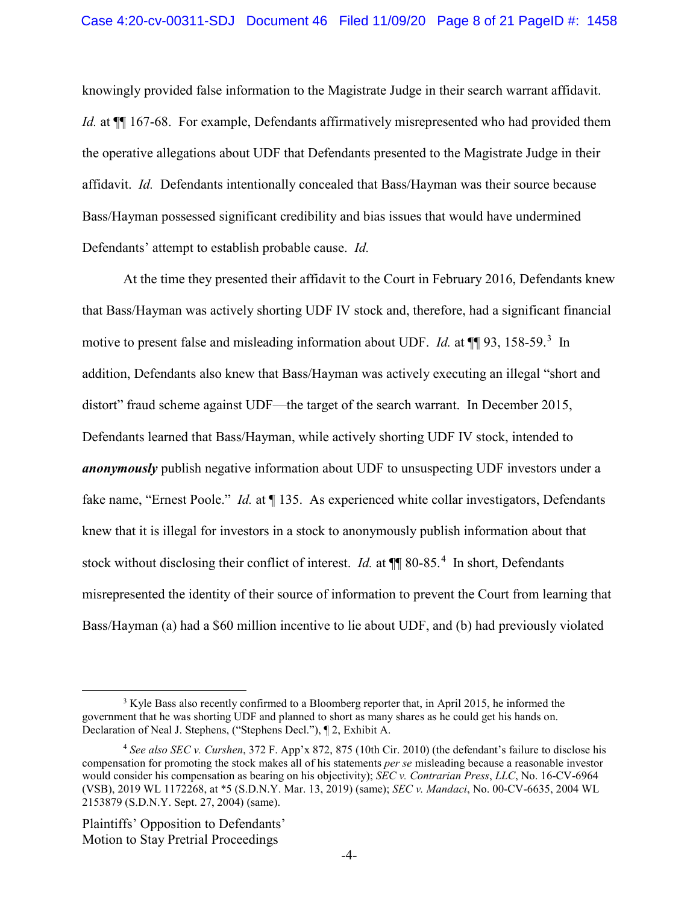knowingly provided false information to the Magistrate Judge in their search warrant affidavit. *Id.* at  $\P$  167-68. For example, Defendants affirmatively misrepresented who had provided them the operative allegations about UDF that Defendants presented to the Magistrate Judge in their affidavit. *Id.* Defendants intentionally concealed that Bass/Hayman was their source because Bass/Hayman possessed significant credibility and bias issues that would have undermined Defendants' attempt to establish probable cause. *Id.*

At the time they presented their affidavit to the Court in February 2016, Defendants knew that Bass/Hayman was actively shorting UDF IV stock and, therefore, had a significant financial motive to present false and misleading information about UDF. *Id.* at  $\P$  9[3](#page-7-3), 158-59.<sup>3</sup> In addition, Defendants also knew that Bass/Hayman was actively executing an illegal "short and distort" fraud scheme against UDF—the target of the search warrant. In December 2015, Defendants learned that Bass/Hayman, while actively shorting UDF IV stock, intended to *anonymously* publish negative information about UDF to unsuspecting UDF investors under a fake name, "Ernest Poole." *Id.* at ¶ 135. As experienced white collar investigators, Defendants knew that it is illegal for investors in a stock to anonymously publish information about that stock without disclosing their conflict of interest. *Id.* at  $\P$  80-85.<sup>[4](#page-7-4)</sup> In short, Defendants misrepresented the identity of their source of information to prevent the Court from learning that Bass/Hayman (a) had a \$60 million incentive to lie about UDF, and (b) had previously violated

<span id="page-7-3"></span><sup>&</sup>lt;sup>3</sup> Kyle Bass also recently confirmed to a Bloomberg reporter that, in April 2015, he informed the government that he was shorting UDF and planned to short as many shares as he could get his hands on. Declaration of Neal J. Stephens, ("Stephens Decl."), ¶ 2, Exhibit A.

<span id="page-7-4"></span><span id="page-7-1"></span><span id="page-7-0"></span><sup>4</sup> *See also SEC v. Curshen*, 372 F. App'x 872, 875 (10th Cir. 2010) (the defendant's failure to disclose his compensation for promoting the stock makes all of his statements *per se* misleading because a reasonable investor would consider his compensation as bearing on his objectivity); *SEC v. Contrarian Press*, *LLC*, No. 16-CV-6964 (VSB), 2019 WL 1172268, at \*5 (S.D.N.Y. Mar. 13, 2019) (same); *SEC v. Mandaci*, No. 00-CV-6635, 2004 WL 2153879 (S.D.N.Y. Sept. 27, 2004) (same).

<span id="page-7-2"></span>Plaintiffs' Opposition to Defendants' Motion to Stay Pretrial Proceedings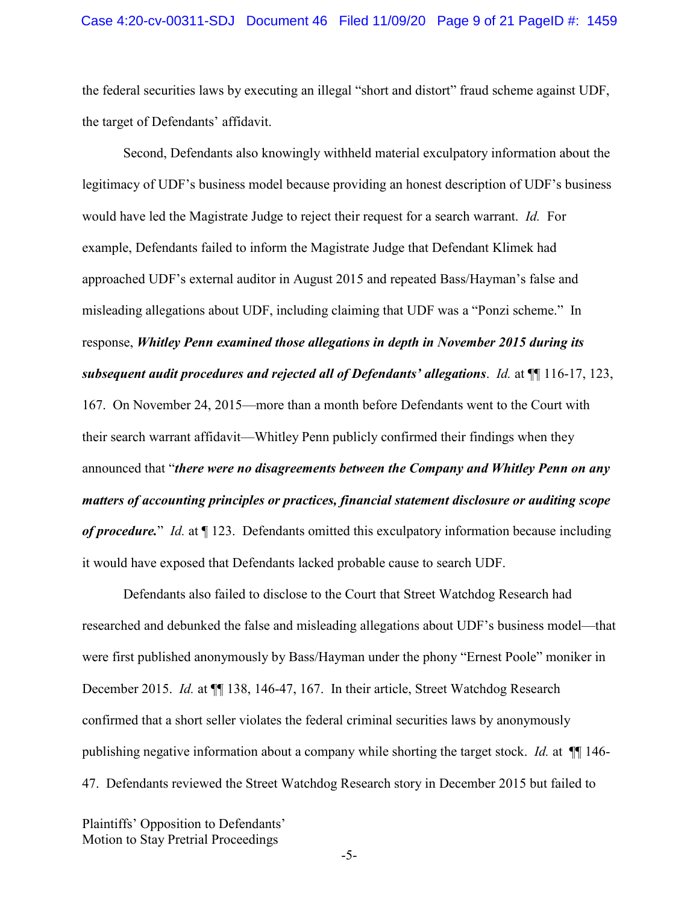the federal securities laws by executing an illegal "short and distort" fraud scheme against UDF, the target of Defendants' affidavit.

Second, Defendants also knowingly withheld material exculpatory information about the legitimacy of UDF's business model because providing an honest description of UDF's business would have led the Magistrate Judge to reject their request for a search warrant. *Id.* For example, Defendants failed to inform the Magistrate Judge that Defendant Klimek had approached UDF's external auditor in August 2015 and repeated Bass/Hayman's false and misleading allegations about UDF, including claiming that UDF was a "Ponzi scheme." In response, *Whitley Penn examined those allegations in depth in November 2015 during its subsequent audit procedures and rejected all of Defendants' allegations*. *Id.* at ¶¶ 116-17, 123, 167. On November 24, 2015—more than a month before Defendants went to the Court with their search warrant affidavit—Whitley Penn publicly confirmed their findings when they announced that "*there were no disagreements between the Company and Whitley Penn on any matters of accounting principles or practices, financial statement disclosure or auditing scope of procedure.*" *Id.* at ¶ 123. Defendants omitted this exculpatory information because including it would have exposed that Defendants lacked probable cause to search UDF.

Defendants also failed to disclose to the Court that Street Watchdog Research had researched and debunked the false and misleading allegations about UDF's business model—that were first published anonymously by Bass/Hayman under the phony "Ernest Poole" moniker in December 2015. *Id.* at  $\P$  138, 146-47, 167. In their article, Street Watchdog Research confirmed that a short seller violates the federal criminal securities laws by anonymously publishing negative information about a company while shorting the target stock. *Id.* at ¶¶ 146- 47. Defendants reviewed the Street Watchdog Research story in December 2015 but failed to

Plaintiffs' Opposition to Defendants' Motion to Stay Pretrial Proceedings

-5-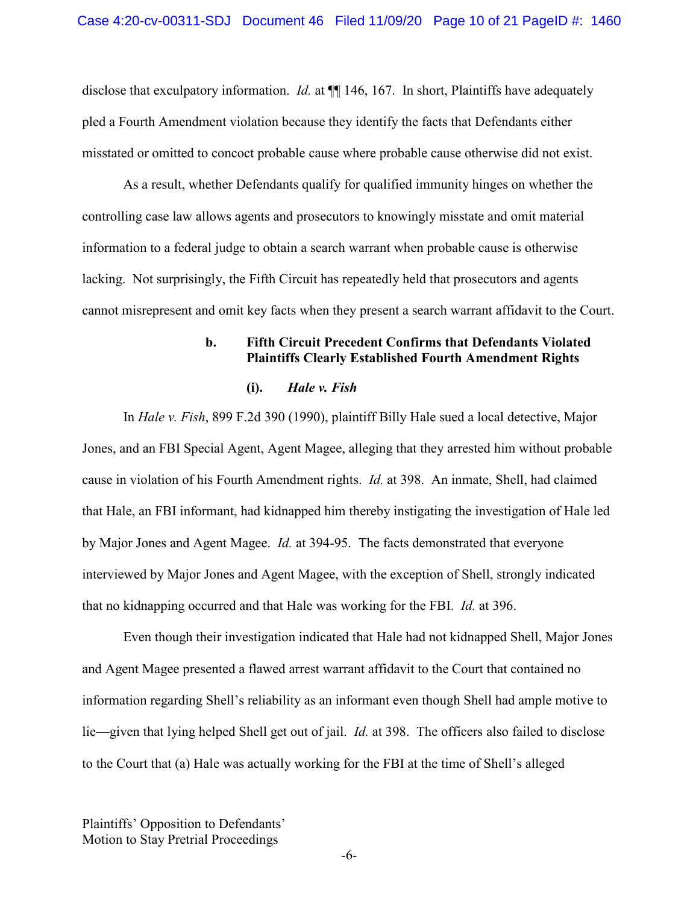disclose that exculpatory information. *Id.* at  $\P$  146, 167. In short, Plaintiffs have adequately pled a Fourth Amendment violation because they identify the facts that Defendants either misstated or omitted to concoct probable cause where probable cause otherwise did not exist.

As a result, whether Defendants qualify for qualified immunity hinges on whether the controlling case law allows agents and prosecutors to knowingly misstate and omit material information to a federal judge to obtain a search warrant when probable cause is otherwise lacking. Not surprisingly, the Fifth Circuit has repeatedly held that prosecutors and agents cannot misrepresent and omit key facts when they present a search warrant affidavit to the Court.

### **b. Fifth Circuit Precedent Confirms that Defendants Violated Plaintiffs Clearly Established Fourth Amendment Rights**

#### <span id="page-9-2"></span>**(i).** *Hale v. Fish*

<span id="page-9-1"></span><span id="page-9-0"></span>In *Hale v. Fish*, 899 F.2d 390 (1990), plaintiff Billy Hale sued a local detective, Major Jones, and an FBI Special Agent, Agent Magee, alleging that they arrested him without probable cause in violation of his Fourth Amendment rights. *Id.* at 398. An inmate, Shell, had claimed that Hale, an FBI informant, had kidnapped him thereby instigating the investigation of Hale led by Major Jones and Agent Magee. *Id.* at 394-95. The facts demonstrated that everyone interviewed by Major Jones and Agent Magee, with the exception of Shell, strongly indicated that no kidnapping occurred and that Hale was working for the FBI. *Id.* at 396.

Even though their investigation indicated that Hale had not kidnapped Shell, Major Jones and Agent Magee presented a flawed arrest warrant affidavit to the Court that contained no information regarding Shell's reliability as an informant even though Shell had ample motive to lie—given that lying helped Shell get out of jail. *Id.* at 398. The officers also failed to disclose to the Court that (a) Hale was actually working for the FBI at the time of Shell's alleged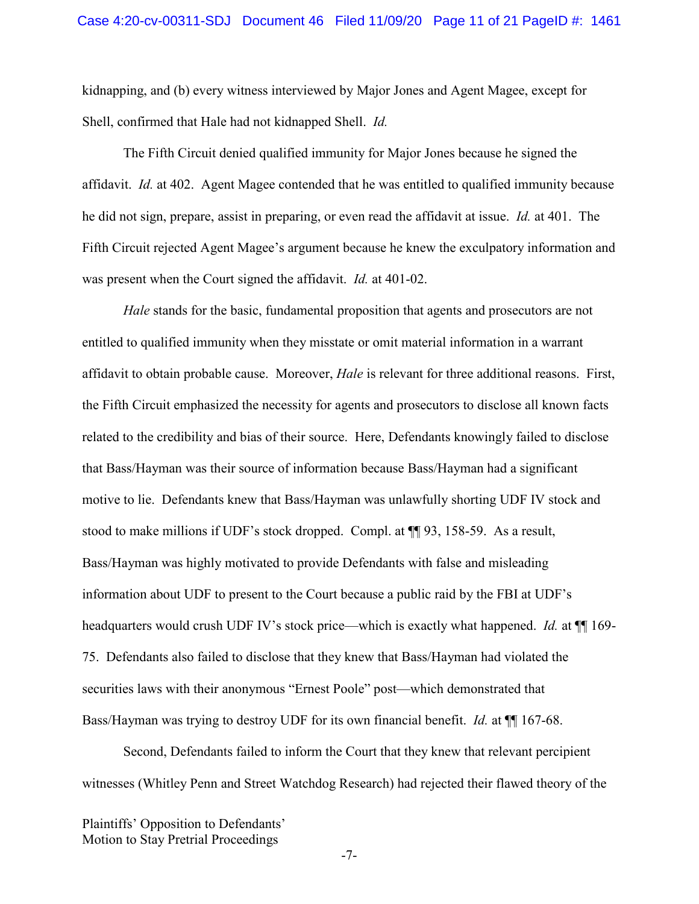kidnapping, and (b) every witness interviewed by Major Jones and Agent Magee, except for Shell, confirmed that Hale had not kidnapped Shell. *Id.*

<span id="page-10-0"></span>The Fifth Circuit denied qualified immunity for Major Jones because he signed the affidavit. *Id.* at 402. Agent Magee contended that he was entitled to qualified immunity because he did not sign, prepare, assist in preparing, or even read the affidavit at issue. *Id.* at 401. The Fifth Circuit rejected Agent Magee's argument because he knew the exculpatory information and was present when the Court signed the affidavit. *Id.* at 401-02.

*Hale* stands for the basic, fundamental proposition that agents and prosecutors are not entitled to qualified immunity when they misstate or omit material information in a warrant affidavit to obtain probable cause. Moreover, *Hale* is relevant for three additional reasons. First, the Fifth Circuit emphasized the necessity for agents and prosecutors to disclose all known facts related to the credibility and bias of their source. Here, Defendants knowingly failed to disclose that Bass/Hayman was their source of information because Bass/Hayman had a significant motive to lie. Defendants knew that Bass/Hayman was unlawfully shorting UDF IV stock and stood to make millions if UDF's stock dropped. Compl. at ¶¶ 93, 158-59. As a result, Bass/Hayman was highly motivated to provide Defendants with false and misleading information about UDF to present to the Court because a public raid by the FBI at UDF's headquarters would crush UDF IV's stock price—which is exactly what happened. *Id.* at ¶¶ 169- 75. Defendants also failed to disclose that they knew that Bass/Hayman had violated the securities laws with their anonymous "Ernest Poole" post—which demonstrated that Bass/Hayman was trying to destroy UDF for its own financial benefit. *Id.* at ¶¶ 167-68.

Second, Defendants failed to inform the Court that they knew that relevant percipient witnesses (Whitley Penn and Street Watchdog Research) had rejected their flawed theory of the

Plaintiffs' Opposition to Defendants' Motion to Stay Pretrial Proceedings

-7-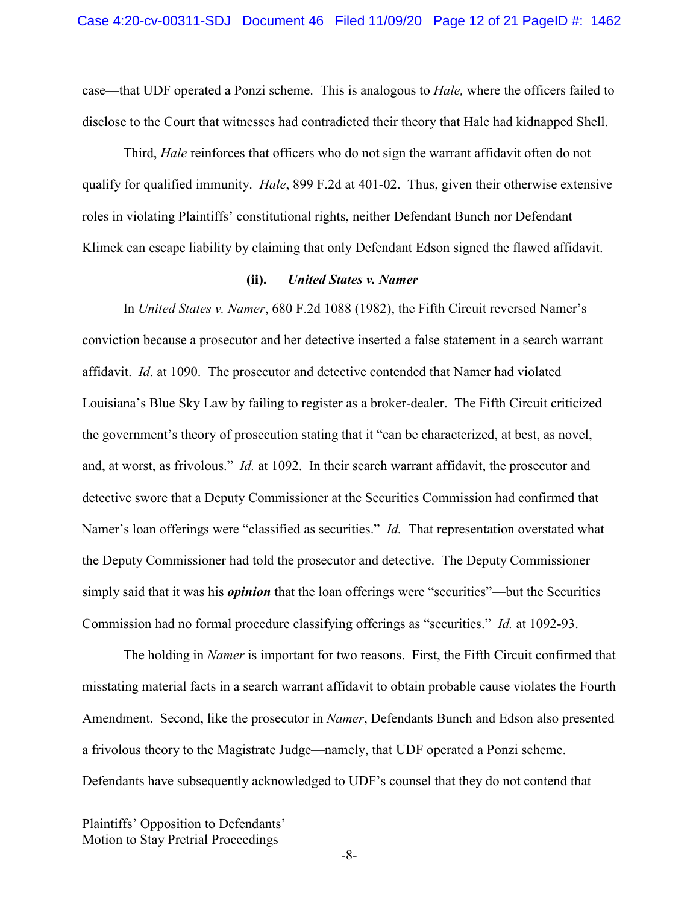case—that UDF operated a Ponzi scheme. This is analogous to *Hale,* where the officers failed to disclose to the Court that witnesses had contradicted their theory that Hale had kidnapped Shell.

<span id="page-11-1"></span>Third, *Hale* reinforces that officers who do not sign the warrant affidavit often do not qualify for qualified immunity. *Hale*, 899 F.2d at 401-02. Thus, given their otherwise extensive roles in violating Plaintiffs' constitutional rights, neither Defendant Bunch nor Defendant Klimek can escape liability by claiming that only Defendant Edson signed the flawed affidavit.

#### <span id="page-11-2"></span>**(ii).** *United States v. Namer*

<span id="page-11-0"></span>In *United States v. Namer*, 680 F.2d 1088 (1982), the Fifth Circuit reversed Namer's conviction because a prosecutor and her detective inserted a false statement in a search warrant affidavit. *Id*. at 1090. The prosecutor and detective contended that Namer had violated Louisiana's Blue Sky Law by failing to register as a broker-dealer. The Fifth Circuit criticized the government's theory of prosecution stating that it "can be characterized, at best, as novel, and, at worst, as frivolous." *Id.* at 1092. In their search warrant affidavit, the prosecutor and detective swore that a Deputy Commissioner at the Securities Commission had confirmed that Namer's loan offerings were "classified as securities." *Id.* That representation overstated what the Deputy Commissioner had told the prosecutor and detective. The Deputy Commissioner simply said that it was his *opinion* that the loan offerings were "securities"—but the Securities Commission had no formal procedure classifying offerings as "securities." *Id.* at 1092-93.

The holding in *Namer* is important for two reasons. First, the Fifth Circuit confirmed that misstating material facts in a search warrant affidavit to obtain probable cause violates the Fourth Amendment. Second, like the prosecutor in *Namer*, Defendants Bunch and Edson also presented a frivolous theory to the Magistrate Judge—namely, that UDF operated a Ponzi scheme. Defendants have subsequently acknowledged to UDF's counsel that they do not contend that

Plaintiffs' Opposition to Defendants' Motion to Stay Pretrial Proceedings

-8-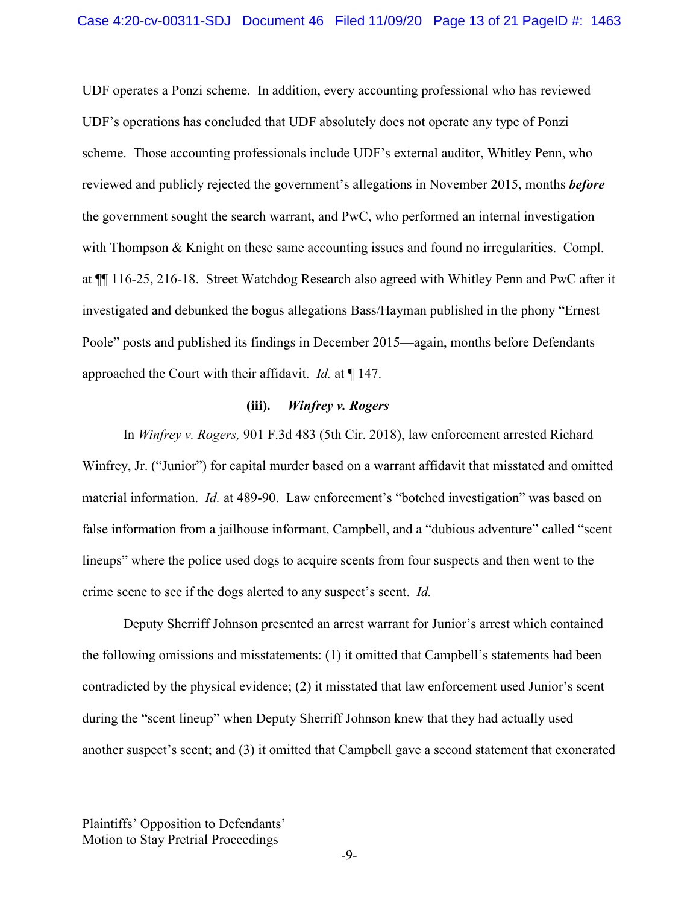UDF operates a Ponzi scheme. In addition, every accounting professional who has reviewed UDF's operations has concluded that UDF absolutely does not operate any type of Ponzi scheme. Those accounting professionals include UDF's external auditor, Whitley Penn, who reviewed and publicly rejected the government's allegations in November 2015, months *before* the government sought the search warrant, and PwC, who performed an internal investigation with Thompson & Knight on these same accounting issues and found no irregularities. Compl. at ¶¶ 116-25, 216-18. Street Watchdog Research also agreed with Whitley Penn and PwC after it investigated and debunked the bogus allegations Bass/Hayman published in the phony "Ernest Poole" posts and published its findings in December 2015—again, months before Defendants approached the Court with their affidavit. *Id.* at ¶ 147.

#### <span id="page-12-1"></span>**(iii).** *Winfrey v. Rogers*

<span id="page-12-0"></span>In *Winfrey v. Rogers,* 901 F.3d 483 (5th Cir. 2018), law enforcement arrested Richard Winfrey, Jr. ("Junior") for capital murder based on a warrant affidavit that misstated and omitted material information. *Id.* at 489-90. Law enforcement's "botched investigation" was based on false information from a jailhouse informant, Campbell, and a "dubious adventure" called "scent lineups" where the police used dogs to acquire scents from four suspects and then went to the crime scene to see if the dogs alerted to any suspect's scent. *Id.*

Deputy Sherriff Johnson presented an arrest warrant for Junior's arrest which contained the following omissions and misstatements: (1) it omitted that Campbell's statements had been contradicted by the physical evidence; (2) it misstated that law enforcement used Junior's scent during the "scent lineup" when Deputy Sherriff Johnson knew that they had actually used another suspect's scent; and (3) it omitted that Campbell gave a second statement that exonerated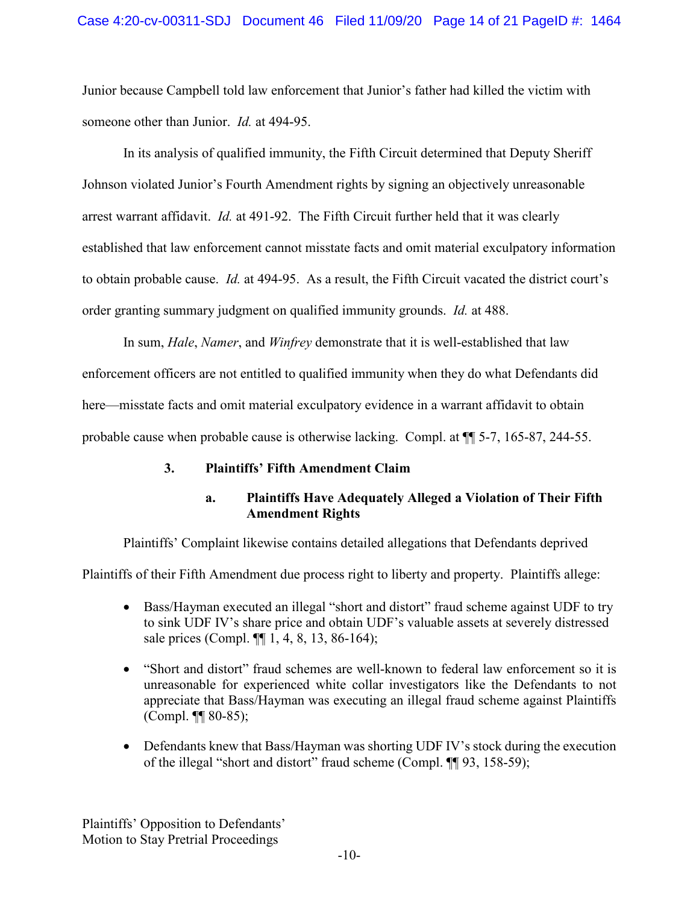Junior because Campbell told law enforcement that Junior's father had killed the victim with someone other than Junior. *Id.* at 494-95.

In its analysis of qualified immunity, the Fifth Circuit determined that Deputy Sheriff Johnson violated Junior's Fourth Amendment rights by signing an objectively unreasonable arrest warrant affidavit. *Id.* at 491-92. The Fifth Circuit further held that it was clearly established that law enforcement cannot misstate facts and omit material exculpatory information to obtain probable cause. *Id.* at 494-95. As a result, the Fifth Circuit vacated the district court's order granting summary judgment on qualified immunity grounds. *Id.* at 488.

<span id="page-13-4"></span><span id="page-13-3"></span><span id="page-13-2"></span>In sum, *Hale*, *Namer*, and *Winfrey* demonstrate that it is well-established that law enforcement officers are not entitled to qualified immunity when they do what Defendants did here—misstate facts and omit material exculpatory evidence in a warrant affidavit to obtain probable cause when probable cause is otherwise lacking. Compl. at ¶¶ 5-7, 165-87, 244-55.

## <span id="page-13-0"></span>**3. Plaintiffs' Fifth Amendment Claim**

## **a. Plaintiffs Have Adequately Alleged a Violation of Their Fifth Amendment Rights**

<span id="page-13-1"></span>Plaintiffs' Complaint likewise contains detailed allegations that Defendants deprived

Plaintiffs of their Fifth Amendment due process right to liberty and property. Plaintiffs allege:

- Bass/Hayman executed an illegal "short and distort" fraud scheme against UDF to try to sink UDF IV's share price and obtain UDF's valuable assets at severely distressed sale prices (Compl.  $\P\P$  1, 4, 8, 13, 86-164);
- "Short and distort" fraud schemes are well-known to federal law enforcement so it is unreasonable for experienced white collar investigators like the Defendants to not appreciate that Bass/Hayman was executing an illegal fraud scheme against Plaintiffs (Compl. ¶¶ 80-85);
- Defendants knew that Bass/Hayman was shorting UDF IV's stock during the execution of the illegal "short and distort" fraud scheme (Compl. ¶¶ 93, 158-59);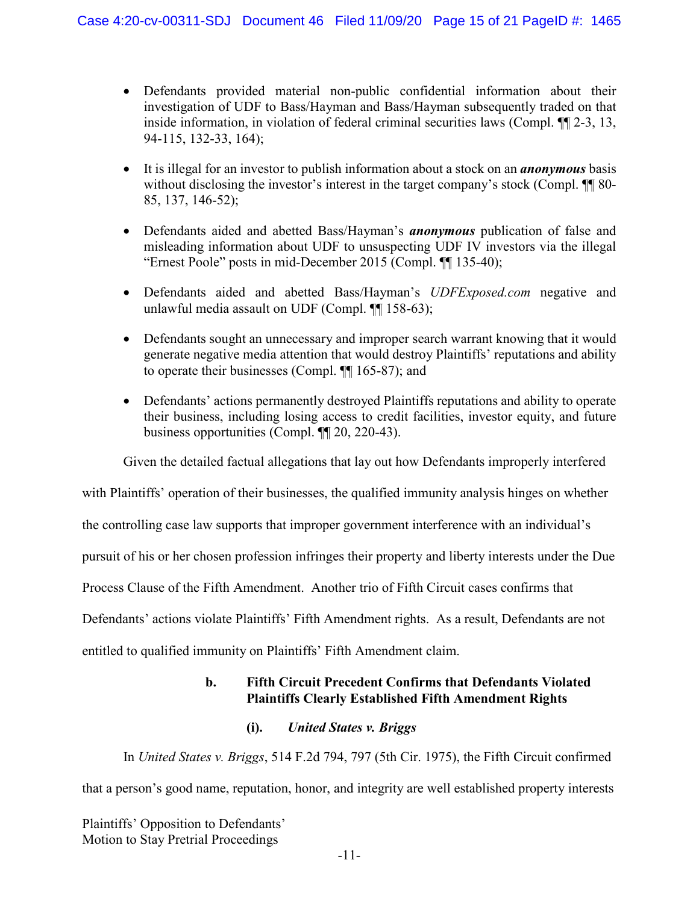- Defendants provided material non-public confidential information about their investigation of UDF to Bass/Hayman and Bass/Hayman subsequently traded on that inside information, in violation of federal criminal securities laws (Compl. ¶¶ 2-3, 13, 94-115, 132-33, 164);
- It is illegal for an investor to publish information about a stock on an *anonymous* basis without disclosing the investor's interest in the target company's stock (Compl.  $\P\P$  80-85, 137, 146-52);
- Defendants aided and abetted Bass/Hayman's *anonymous* publication of false and misleading information about UDF to unsuspecting UDF IV investors via the illegal "Ernest Poole" posts in mid-December 2015 (Compl. ¶¶ 135-40);
- Defendants aided and abetted Bass/Hayman's *UDFExposed.com* negative and unlawful media assault on UDF (Compl. ¶¶ 158-63);
- Defendants sought an unnecessary and improper search warrant knowing that it would generate negative media attention that would destroy Plaintiffs' reputations and ability to operate their businesses (Compl. ¶¶ 165-87); and
- Defendants' actions permanently destroyed Plaintiffs reputations and ability to operate their business, including losing access to credit facilities, investor equity, and future business opportunities (Compl. ¶¶ 20, 220-43).

Given the detailed factual allegations that lay out how Defendants improperly interfered

with Plaintiffs' operation of their businesses, the qualified immunity analysis hinges on whether

the controlling case law supports that improper government interference with an individual's

pursuit of his or her chosen profession infringes their property and liberty interests under the Due

Process Clause of the Fifth Amendment. Another trio of Fifth Circuit cases confirms that

Defendants' actions violate Plaintiffs' Fifth Amendment rights. As a result, Defendants are not

<span id="page-14-0"></span>entitled to qualified immunity on Plaintiffs' Fifth Amendment claim.

## **b. Fifth Circuit Precedent Confirms that Defendants Violated Plaintiffs Clearly Established Fifth Amendment Rights**

## <span id="page-14-2"></span>**(i).** *United States v. Briggs*

<span id="page-14-1"></span>In *United States v. Briggs*, 514 F.2d 794, 797 (5th Cir. 1975), the Fifth Circuit confirmed that a person's good name, reputation, honor, and integrity are well established property interests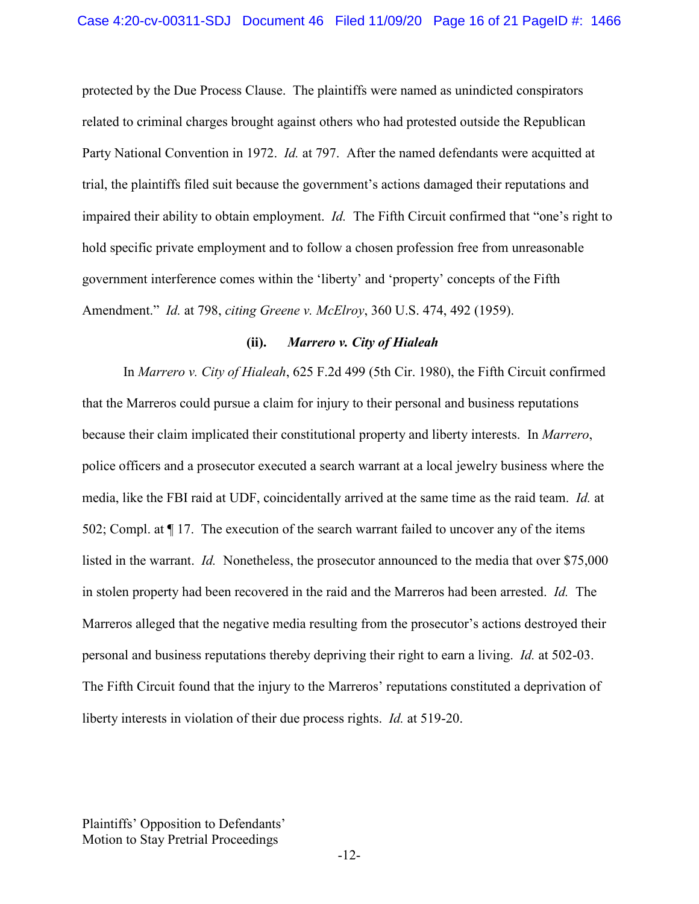protected by the Due Process Clause. The plaintiffs were named as unindicted conspirators related to criminal charges brought against others who had protested outside the Republican Party National Convention in 1972. *Id.* at 797. After the named defendants were acquitted at trial, the plaintiffs filed suit because the government's actions damaged their reputations and impaired their ability to obtain employment. *Id.* The Fifth Circuit confirmed that "one's right to hold specific private employment and to follow a chosen profession free from unreasonable government interference comes within the 'liberty' and 'property' concepts of the Fifth Amendment." *Id.* at 798, *citing Greene v. McElroy*, 360 U.S. 474, 492 (1959).

#### <span id="page-15-2"></span><span id="page-15-1"></span>**(ii).** *Marrero v. City of Hialeah*

<span id="page-15-0"></span>In *Marrero v. City of Hialeah*, 625 F.2d 499 (5th Cir. 1980), the Fifth Circuit confirmed that the Marreros could pursue a claim for injury to their personal and business reputations because their claim implicated their constitutional property and liberty interests. In *Marrero*, police officers and a prosecutor executed a search warrant at a local jewelry business where the media, like the FBI raid at UDF, coincidentally arrived at the same time as the raid team. *Id.* at 502; Compl. at ¶ 17. The execution of the search warrant failed to uncover any of the items listed in the warrant. *Id.* Nonetheless, the prosecutor announced to the media that over \$75,000 in stolen property had been recovered in the raid and the Marreros had been arrested. *Id.* The Marreros alleged that the negative media resulting from the prosecutor's actions destroyed their personal and business reputations thereby depriving their right to earn a living. *Id.* at 502-03. The Fifth Circuit found that the injury to the Marreros' reputations constituted a deprivation of liberty interests in violation of their due process rights. *Id.* at 519-20.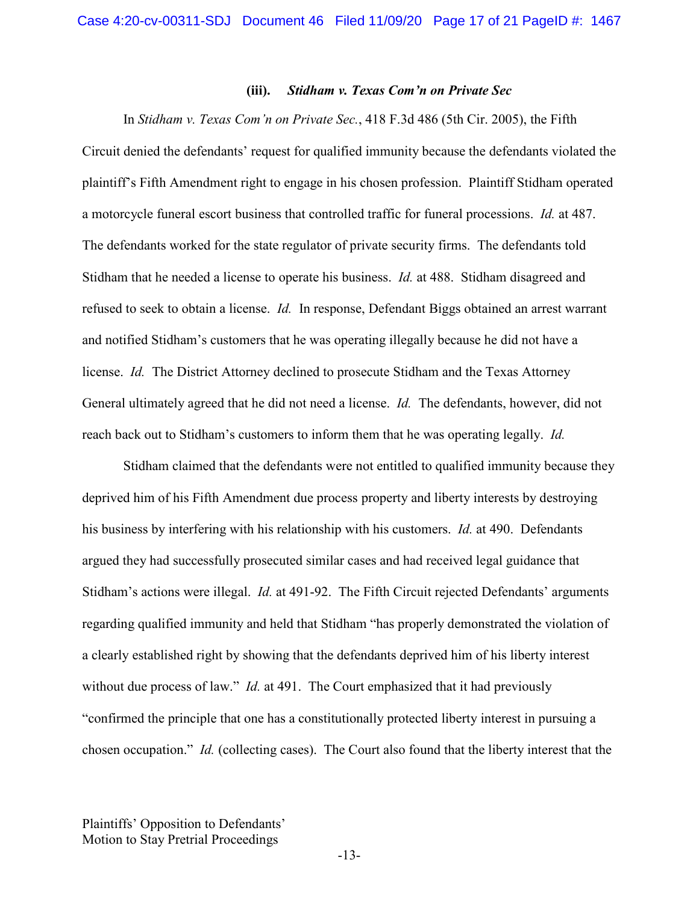#### <span id="page-16-1"></span>**(iii).** *Stidham v. Texas Com'n on Private Sec*

<span id="page-16-0"></span>In *Stidham v. Texas Com'n on Private Sec.*, 418 F.3d 486 (5th Cir. 2005), the Fifth Circuit denied the defendants' request for qualified immunity because the defendants violated the plaintiff's Fifth Amendment right to engage in his chosen profession. Plaintiff Stidham operated a motorcycle funeral escort business that controlled traffic for funeral processions. *Id.* at 487. The defendants worked for the state regulator of private security firms. The defendants told Stidham that he needed a license to operate his business. *Id.* at 488. Stidham disagreed and refused to seek to obtain a license. *Id.* In response, Defendant Biggs obtained an arrest warrant and notified Stidham's customers that he was operating illegally because he did not have a license. *Id.* The District Attorney declined to prosecute Stidham and the Texas Attorney General ultimately agreed that he did not need a license. *Id.* The defendants, however, did not reach back out to Stidham's customers to inform them that he was operating legally. *Id.*

<span id="page-16-2"></span>Stidham claimed that the defendants were not entitled to qualified immunity because they deprived him of his Fifth Amendment due process property and liberty interests by destroying his business by interfering with his relationship with his customers. *Id.* at 490. Defendants argued they had successfully prosecuted similar cases and had received legal guidance that Stidham's actions were illegal. *Id.* at 491-92. The Fifth Circuit rejected Defendants' arguments regarding qualified immunity and held that Stidham "has properly demonstrated the violation of a clearly established right by showing that the defendants deprived him of his liberty interest without due process of law." *Id.* at 491. The Court emphasized that it had previously "confirmed the principle that one has a constitutionally protected liberty interest in pursuing a chosen occupation." *Id.* (collecting cases). The Court also found that the liberty interest that the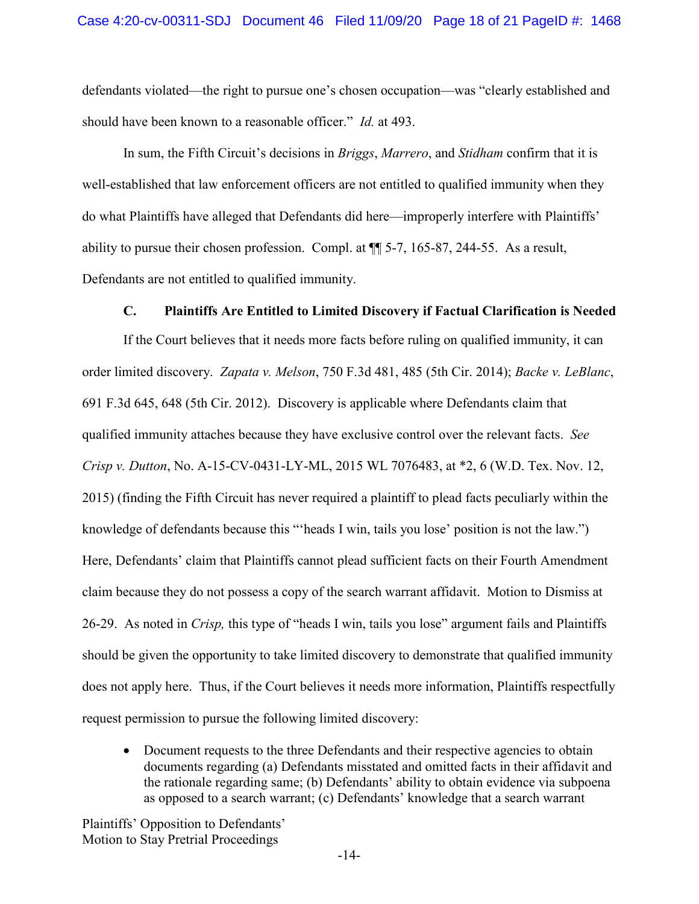defendants violated—the right to pursue one's chosen occupation—was "clearly established and should have been known to a reasonable officer." *Id.* at 493.

<span id="page-17-4"></span><span id="page-17-3"></span>In sum, the Fifth Circuit's decisions in *Briggs*, *Marrero*, and *Stidham* confirm that it is well-established that law enforcement officers are not entitled to qualified immunity when they do what Plaintiffs have alleged that Defendants did here—improperly interfere with Plaintiffs' ability to pursue their chosen profession. Compl. at ¶¶ 5-7, 165-87, 244-55. As a result, Defendants are not entitled to qualified immunity.

#### <span id="page-17-5"></span><span id="page-17-1"></span>**C. Plaintiffs Are Entitled to Limited Discovery if Factual Clarification is Needed**

<span id="page-17-2"></span><span id="page-17-0"></span>If the Court believes that it needs more facts before ruling on qualified immunity, it can order limited discovery. *Zapata v. Melson*, 750 F.3d 481, 485 (5th Cir. 2014); *Backe v. LeBlanc*, 691 F.3d 645, 648 (5th Cir. 2012). Discovery is applicable where Defendants claim that qualified immunity attaches because they have exclusive control over the relevant facts. *See Crisp v. Dutton*, No. A-15-CV-0431-LY-ML, 2015 WL 7076483, at \*2, 6 (W.D. Tex. Nov. 12, 2015) (finding the Fifth Circuit has never required a plaintiff to plead facts peculiarly within the knowledge of defendants because this "'heads I win, tails you lose' position is not the law.") Here, Defendants' claim that Plaintiffs cannot plead sufficient facts on their Fourth Amendment claim because they do not possess a copy of the search warrant affidavit. Motion to Dismiss at 26-29. As noted in *Crisp,* this type of "heads I win, tails you lose" argument fails and Plaintiffs should be given the opportunity to take limited discovery to demonstrate that qualified immunity does not apply here. Thus, if the Court believes it needs more information, Plaintiffs respectfully request permission to pursue the following limited discovery:

• Document requests to the three Defendants and their respective agencies to obtain documents regarding (a) Defendants misstated and omitted facts in their affidavit and the rationale regarding same; (b) Defendants' ability to obtain evidence via subpoena as opposed to a search warrant; (c) Defendants' knowledge that a search warrant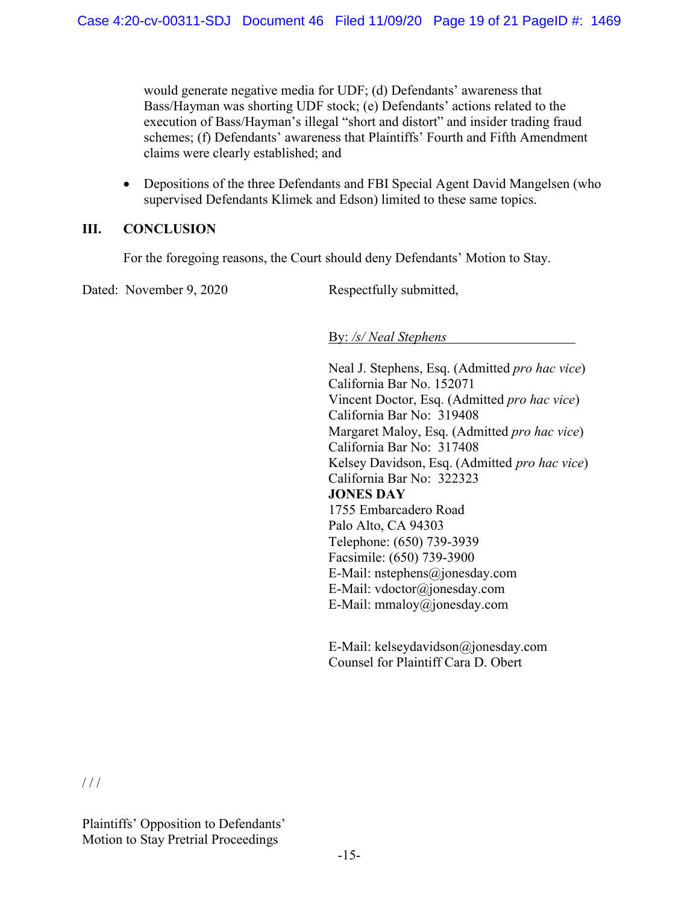would generate negative media for UDF; (d) Defendants' awareness that Bass/Hayman was shorting UDF stock; (e) Defendants' actions related to the execution of Bass/Hayman's illegal "short and distort" and insider trading fraud schemes; (f) Defendants' awareness that Plaintiffs' Fourth and Fifth Amendment claims were clearly established; and

• Depositions of the three Defendants and FBI Special Agent David Mangelsen (who supervised Defendants Klimek and Edson) limited to these same topics.

## <span id="page-18-0"></span>**III. CONCLUSION**

For the foregoing reasons, the Court should deny Defendants' Motion to Stay.

Dated: November 9, 2020 Respectfully submitted,

By: */s/ Neal Stephens*

Neal J. Stephens, Esq. (Admitted *pro hac vice*) California Bar No. 152071 Vincent Doctor, Esq. (Admitted *pro hac vice*) California Bar No: 319408 Margaret Maloy, Esq. (Admitted *pro hac vice*) California Bar No: 317408 Kelsey Davidson, Esq. (Admitted *pro hac vice*) California Bar No: 322323 **JONES DAY**  1755 Embarcadero Road Palo Alto, CA 94303 Telephone: (650) 739-3939 Facsimile: (650) 739-3900 E-Mail: nstephens@jonesday.com E-Mail: vdoctor@jonesday.com E-Mail: mmaloy@jonesday.com

E-Mail: kelseydavidson@jonesday.com Counsel for Plaintiff Cara D. Obert

 $/ / /$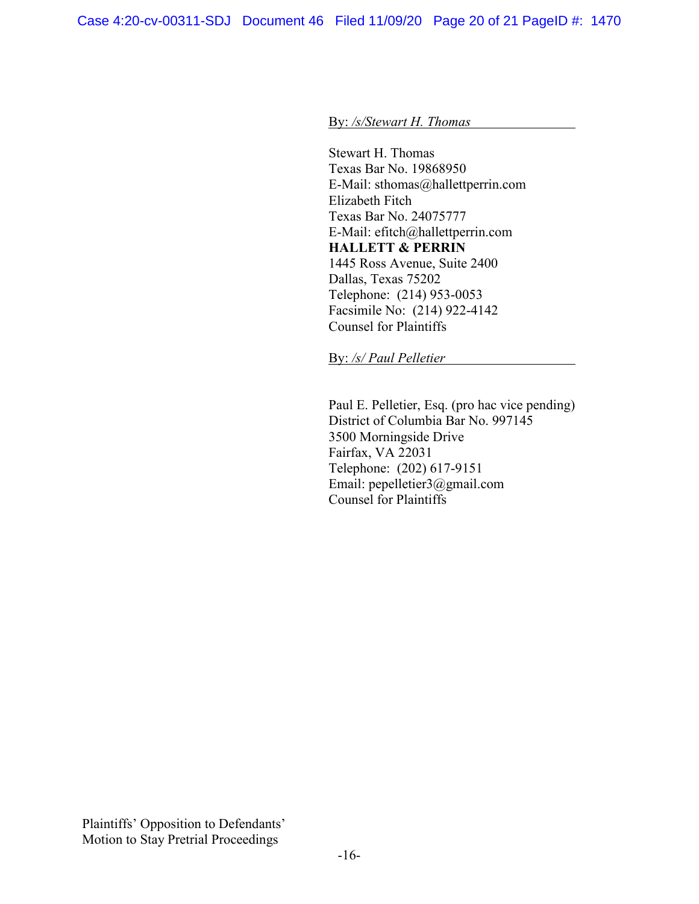By: */s/Stewart H. Thomas*

Stewart H. Thomas Texas Bar No. 19868950 E-Mail: sthomas@hallettperrin.com Elizabeth Fitch Texas Bar No. 24075777 E-Mail: efitch@hallettperrin.com **HALLETT & PERRIN** 1445 Ross Avenue, Suite 2400 Dallas, Texas 75202 Telephone: (214) 953-0053 Facsimile No: (214) 922-4142 Counsel for Plaintiffs

By: */s/ Paul Pelletier* 

Paul E. Pelletier, Esq. (pro hac vice pending) District of Columbia Bar No. 997145 3500 Morningside Drive Fairfax, VA 22031 Telephone: (202) 617-9151 Email: pepelletier3@gmail.com Counsel for Plaintiffs